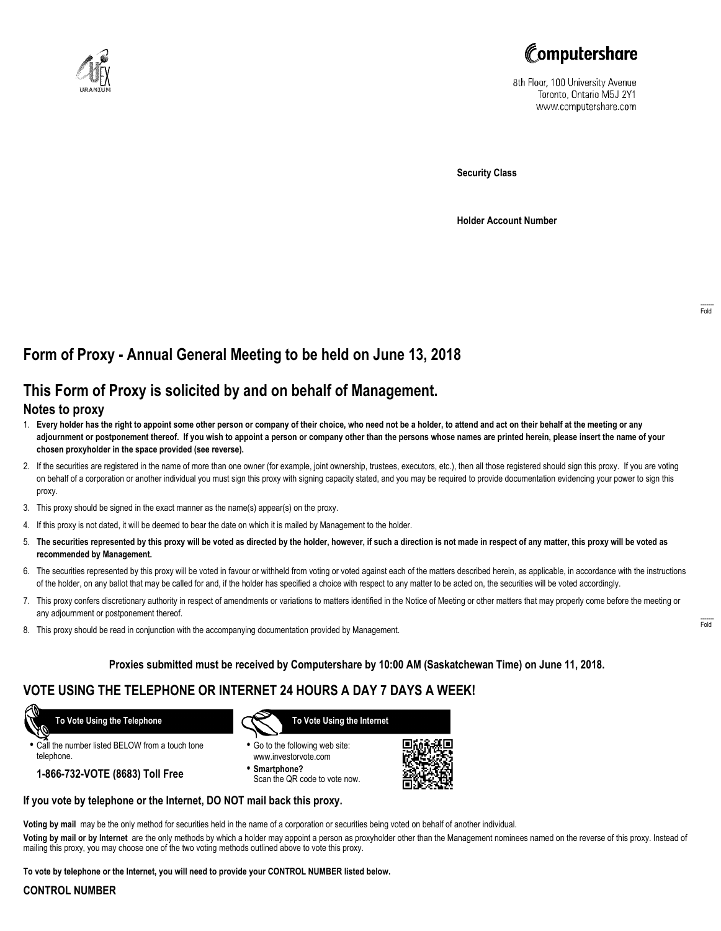



8th Floor, 100 University Avenue Toronto, Ontario M5J 2Y1 www.computershare.com

**Security Class**

**Holder Account Number**

# **Form of Proxy - Annual General Meeting to be held on June 13, 2018**

## **This Form of Proxy is solicited by and on behalf of Management.**

### **Notes to proxy**

- 1. **Every holder has the right to appoint some other person or company of their choice, who need not be a holder, to attend and act on their behalf at the meeting or any adjournment or postponement thereof. If you wish to appoint a person or company other than the persons whose names are printed herein, please insert the name of your chosen proxyholder in the space provided (see reverse).**
- 2. If the securities are registered in the name of more than one owner (for example, joint ownership, trustees, executors, etc.), then all those registered should sign this proxy. If you are voting on behalf of a corporation or another individual you must sign this proxy with signing capacity stated, and you may be required to provide documentation evidencing your power to sign this proxy.
- 3. This proxy should be signed in the exact manner as the name(s) appear(s) on the proxy.
- 4. If this proxy is not dated, it will be deemed to bear the date on which it is mailed by Management to the holder.
- 5. **The securities represented by this proxy will be voted as directed by the holder, however, if such a direction is not made in respect of any matter, this proxy will be voted as recommended by Management.**
- 6. The securities represented by this proxy will be voted in favour or withheld from voting or voted against each of the matters described herein, as applicable, in accordance with the instructions of the holder, on any ballot that may be called for and, if the holder has specified a choice with respect to any matter to be acted on, the securities will be voted accordingly.
- 7. This proxy confers discretionary authority in respect of amendments or variations to matters identified in the Notice of Meeting or other matters that may properly come before the meeting or any adjournment or postponement thereof.
- 8. This proxy should be read in conjunction with the accompanying documentation provided by Management.

### **Proxies submitted must be received by Computershare by 10:00 AM (Saskatchewan Time) on June 11, 2018.**

## **VOTE USING THE TELEPHONE OR INTERNET 24 HOURS A DAY 7 DAYS A WEEK!**

 **To Vote Using the Telephone**

**•** Call the number listed BELOW from a touch tone telephone.

**1-866-732-VOTE (8683) Toll Free**



- **•** Go to the following web site: www.investorvote.com
- **• Smartphone?** Scan the QR code to vote now.



### **If you vote by telephone or the Internet, DO NOT mail back this proxy.**

**Voting by mail** may be the only method for securities held in the name of a corporation or securities being voted on behalf of another individual.

**Voting by mail or by Internet** are the only methods by which a holder may appoint a person as proxyholder other than the Management nominees named on the reverse of this proxy. Instead of mailing this proxy, you may choose one of the two voting methods outlined above to vote this proxy.

**To vote by telephone or the Internet, you will need to provide your CONTROL NUMBER listed below.**

#### **CONTROL NUMBER**